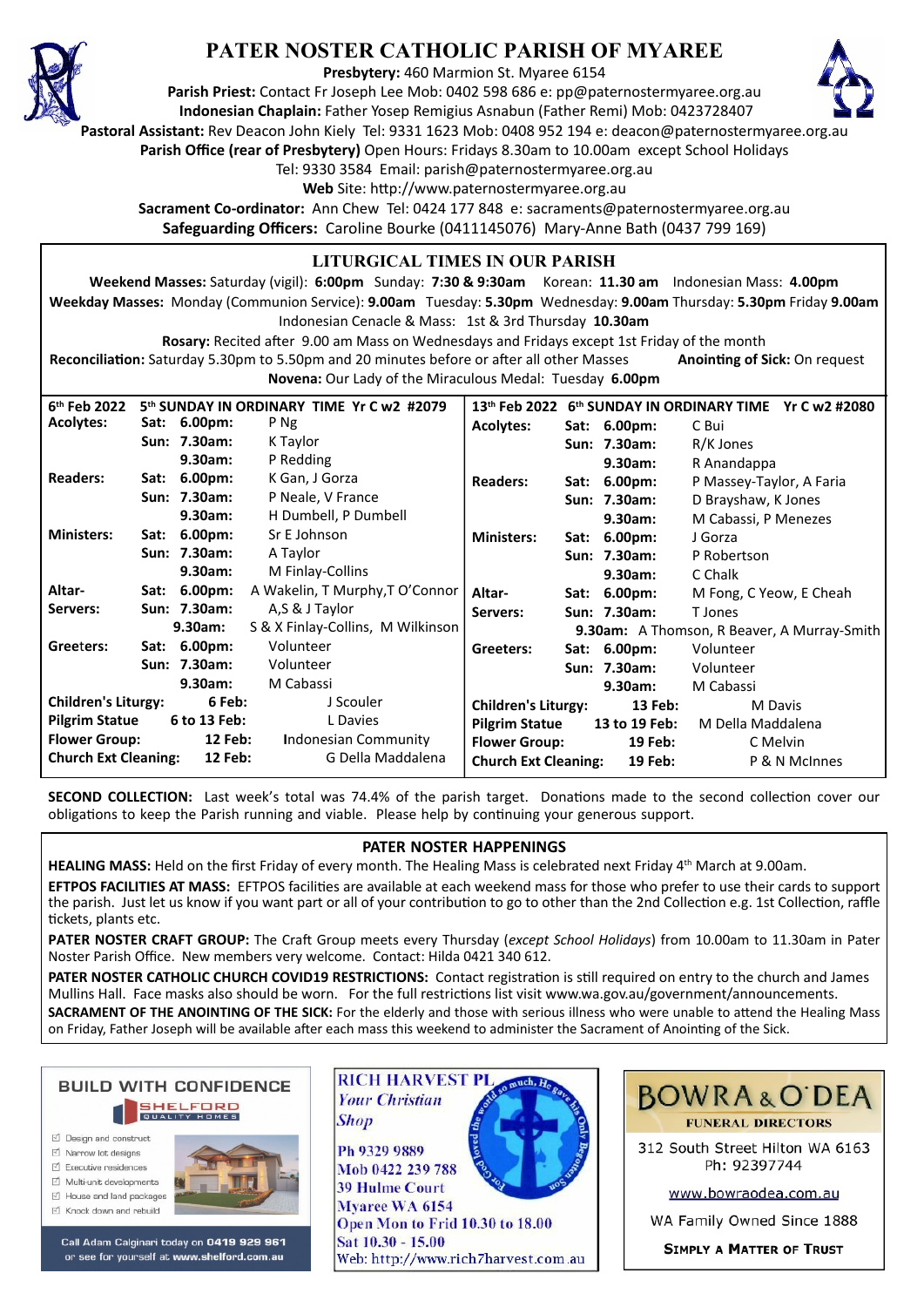

# **PATER NOSTER CATHOLIC PARISH OF MYAREE**

**Presbytery:** 460 Marmion St. Myaree 6154

**Parish Priest:** Contact Fr Joseph Lee Mob: 0402 598 686 e: pp@paternostermyaree.org.au **Indonesian Chaplain:** Father Yosep Remigius Asnabun (Father Remi) Mob: 0423728407



**Pastoral Assistant:** Rev Deacon John Kiely Tel: 9331 1623 Mob: 0408 952 194 e: deacon@paternostermyaree.org.au

**Parish Office (rear of Presbytery)** Open Hours: Fridays 8.30am to 10.00am except School Holidays

Tel: 9330 3584 Email: parish@paternostermyaree.org.au

Web Site: http://www.paternostermyaree.org.au

**Sacrament Co-ordinator:** Ann Chew Tel: 0424 177 848 e: sacraments@paternostermyaree.org.au **Safeguarding Officers:** Caroline Bourke (0411145076) Mary-Anne Bath (0437 799 169)

### **LITURGICAL TIMES IN OUR PARISH**

**Weekend Masses:** Saturday (vigil): **6:00pm** Sunday: **7:30 & 9:30am** Korean: **11.30 am** Indonesian Mass: **4.00pm Weekday Masses:** Monday (Communion Service): **9.00am** Tuesday: **5.30pm** Wednesday: **9.00am** Thursday: **5.30pm** Friday **9.00am** Indonesian Cenacle & Mass: 1st & 3rd Thursday **10.30am**

**Rosary:** Recited a�er 9.00 am Mass on Wednesdays and Fridays except 1st Friday of the month Reconciliation: Saturday 5.30pm to 5.50pm and 20 minutes before or after all other Masses **Anointing of Sick:** On request **Novena:** Our Lady of the Miraculous Medal: Tuesday **6.00pm**

**13th Feb 2022 6th SUNDAY IN ORDINARY TIME Yr C w2 #2080 Acolytes: Sat: 6.00pm:** C Bui **Sun: 7.30am:** R/K Jones **9.30am:** R Anandappa **Readers: Sat: 6.00pm:** P Massey-Taylor, A Faria **Sun: 7.30am:** D Brayshaw, K Jones **9.30am:** M Cabassi, P Menezes **Ministers: Sat: 6.00pm:** J Gorza **Sun: 7.30am:** P Robertson **9.30am:** C Chalk **Altar- Sat: 6.00pm:** M Fong, C Yeow, E Cheah **Servers: Sun: 7.30am:** T Jones **9.30am:** A Thomson, R Beaver, A Murray-Smith **Greeters: Sat: 6.00pm:** Volunteer **Sun: 7.30am:** Volunteer **9.30am:** M Cabassi **Children's Liturgy: 13 Feb:** M Davis Pilgrim Statue 13 to 19 Feb: M Della Maddalena **Flower Group:** 19 Feb: C Melvin<br> **Church Ext Cleaning:** 19 Feb: P & N McInnes **Church Ext Cleaning: 19 Feb: 6 th Feb 2022 5th SUNDAY IN ORDINARY TIME Yr C w2 #2079 Acolytes: Sat: 6.00pm:** P Ng **Sun: 7.30am:** K Taylor **9.30am:** P Redding **Readers: Sat: 6.00pm:** K Gan, J Gorza **Sun: 7.30am:** P Neale, V France **9.30am:** H Dumbell, P Dumbell **Ministers: Sat: 6.00pm:** Sr E Johnson **Sun: 7.30am:** A Taylor **9.30am:** M Finlay-Collins **Altar- Sat: 6.00pm:** A Wakelin, T Murphy,T O'Connor **Servers: Sun: 7.30am:** A,S & J Taylor **9.30am:** S & X Finlay-Collins, M Wilkinson **Gree**t**ers: Sat: 6.00pm:** Volunteer **Sun: 7.30am:** Volunteer **9.30am:** M Cabassi **Children's Liturgy: 6 Feb:** J Scouler **Pilgrim Statue 6 to 13 Feb:** L Davies Flower Group: 12 Feb: Indonesian Community **Church Ext Cleaning: 12 Feb:** G Della Maddalena

**SECOND COLLECTION:** Last week's total was 74.4% of the parish target. Donations made to the second collection cover our obligations to keep the Parish running and viable. Please help by continuing your generous support.

### **PATER NOSTER HAPPENINGS**

**HEALING MASS:** Held on the first Friday of every month. The Healing Mass is celebrated next Friday 4<sup>th</sup> March at 9.00am.

**EFTPOS FACILITIES AT MASS:** EFTPOS facilities are available at each weekend mass for those who prefer to use their cards to support the parish. Just let us know if you want part or all of your contribution to go to other than the 2nd Collection e.g. 1st Collection, raffle tickets, plants etc.

PATER NOSTER CRAFT GROUP: The Craft Group meets every Thursday (*except School Holidays*) from 10.00am to 11.30am in Pater Noster Parish Office. New members very welcome. Contact: Hilda 0421 340 612.

PATER NOSTER CATHOLIC CHURCH COVID19 RESTRICTIONS: Contact registration is still required on entry to the church and James Mullins Hall. Face masks also should be worn. For the full restrictions list visit www.wa.gov.au/government/announcements. **SACRAMENT OF THE ANOINTING OF THE SICK:** For the elderly and those with serious illness who were unable to attend the Healing Mass on Friday, Father Joseph will be available after each mass this weekend to administer the Sacrament of Anointing of the Sick.



- □ Design and construct
- $\triangledown$  Narrow lot designe
- $\triangledown$  Executive residences
- $\overrightarrow{2}$  Multi-unit developments M House and land packages
- M Knock down and rebuild



Call Adam Calginari today on 0419 929 961 or see for yourself at www.shelford.com.au



Ph 9329 9889 Mob 0422 239 788 **39 Hulme Court** Mvaree WA 6154 Open Mon to Frid 10.30 to 18.00 Sat 10.30 - 15.00 Web: http://www.rich7harvest.com.au



312 South Street Hilton WA 6163 Ph: 92397744

www.bowraodea.com.au

WA Family Owned Since 1888

**SIMPLY A MATTER OF TRUST**